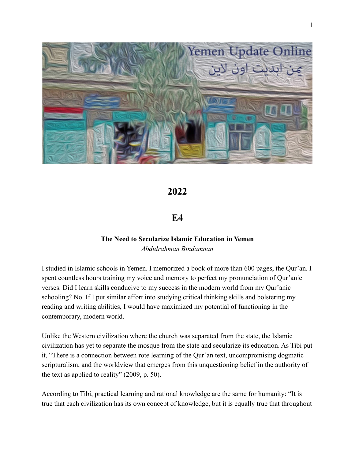

# **2022**

## **E4**

## **The Need to Secularize Islamic Education in Yemen** *Abdulrahman Bindamnan*

I studied in Islamic schools in Yemen. I memorized a book of more than 600 pages, the Qur'an. I spent countless hours training my voice and memory to perfect my pronunciation of Qur'anic verses. Did I learn skills conducive to my success in the modern world from my Qur'anic schooling? No. If I put similar effort into studying critical thinking skills and bolstering my reading and writing abilities, I would have maximized my potential of functioning in the contemporary, modern world.

Unlike the Western civilization where the church was separated from the state, the Islamic civilization has yet to separate the mosque from the state and secularize its education. As Tibi put it, "There is a connection between rote learning of the Qur'an text, uncompromising dogmatic scripturalism, and the worldview that emerges from this unquestioning belief in the authority of the text as applied to reality" (2009, p. 50).

According to Tibi, practical learning and rational knowledge are the same for humanity: "It is true that each civilization has its own concept of knowledge, but it is equally true that throughout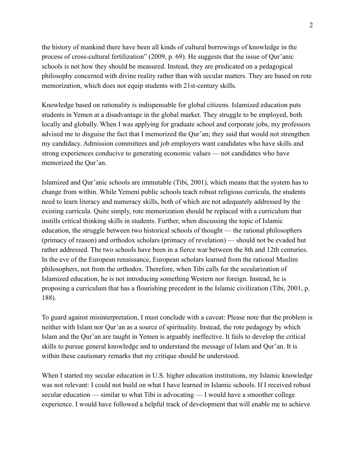the history of mankind there have been all kinds of cultural borrowings of knowledge in the process of cross-cultural fertilization" (2009, p. 69). He suggests that the issue of Qur'anic schools is not how they should be measured. Instead, they are predicated on a pedagogical philosophy concerned with divine reality rather than with secular matters. They are based on rote memorization, which does not equip students with 21st-century skills.

Knowledge based on rationality is indispensable for global citizens. Islamized education puts students in Yemen at a disadvantage in the global market. They struggle to be employed, both locally and globally. When I was applying for graduate school and corporate jobs, my professors advised me to disguise the fact that I memorized the Qur'an; they said that would not strengthen my candidacy. Admission committees and job employers want candidates who have skills and strong experiences conducive to generating economic values — not candidates who have memorized the Qur'an.

Islamized and Qur'anic schools are immutable (Tibi, 2001), which means that the system has to change from within. While Yemeni public schools teach robust religious curricula, the students need to learn literacy and numeracy skills, both of which are not adequately addressed by the existing curricula. Quite simply, rote memorization should be replaced with a curriculum that instills critical thinking skills in students. Further, when discussing the topic of Islamic education, the struggle between two historical schools of thought — the rational philosophers (primacy of reason) and orthodox scholars (primacy of revelation) — should not be evaded but rather addressed. The two schools have been in a fierce war between the 8th and 12th centuries. In the eve of the European renaissance, European scholars learned from the rational Muslim philosophers, not from the orthodox. Therefore, when Tibi calls for the secularization of Islamized education, he is not introducing something Western nor foreign. Instead, he is proposing a curriculum that has a flourishing precedent in the Islamic civilization (Tibi, 2001, p. 188).

To guard against misinterpretation, I must conclude with a caveat: Please note that the problem is neither with Islam nor Qur'an as a source of spirituality. Instead, the rote pedagogy by which Islam and the Qur'an are taught in Yemen is arguably ineffective. It fails to develop the critical skills to pursue general knowledge and to understand the message of Islam and Qur'an. It is within these cautionary remarks that my critique should be understood.

When I started my secular education in U.S. higher education institutions, my Islamic knowledge was not relevant: I could not build on what I have learned in Islamic schools. If I received robust secular education — similar to what Tibi is advocating — I would have a smoother college experience. I would have followed a helpful track of development that will enable me to achieve